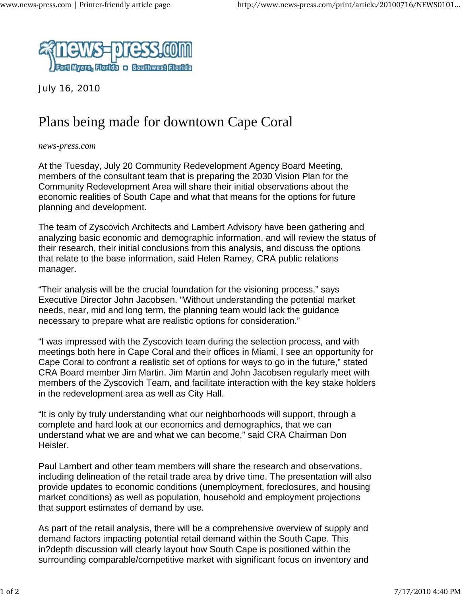

July 16, 2010

## Plans being made for downtown Cape Coral

## *news-press.com*

At the Tuesday, July 20 Community Redevelopment Agency Board Meeting, members of the consultant team that is preparing the 2030 Vision Plan for the Community Redevelopment Area will share their initial observations about the economic realities of South Cape and what that means for the options for future planning and development.

The team of Zyscovich Architects and Lambert Advisory have been gathering and analyzing basic economic and demographic information, and will review the status of their research, their initial conclusions from this analysis, and discuss the options that relate to the base information, said Helen Ramey, CRA public relations manager.

"Their analysis will be the crucial foundation for the visioning process," says Executive Director John Jacobsen. "Without understanding the potential market needs, near, mid and long term, the planning team would lack the guidance necessary to prepare what are realistic options for consideration."

"I was impressed with the Zyscovich team during the selection process, and with meetings both here in Cape Coral and their offices in Miami, I see an opportunity for Cape Coral to confront a realistic set of options for ways to go in the future," stated CRA Board member Jim Martin. Jim Martin and John Jacobsen regularly meet with members of the Zyscovich Team, and facilitate interaction with the key stake holders in the redevelopment area as well as City Hall.

"It is only by truly understanding what our neighborhoods will support, through a complete and hard look at our economics and demographics, that we can understand what we are and what we can become," said CRA Chairman Don Heisler.

Paul Lambert and other team members will share the research and observations, including delineation of the retail trade area by drive time. The presentation will also provide updates to economic conditions (unemployment, foreclosures, and housing market conditions) as well as population, household and employment projections that support estimates of demand by use.

As part of the retail analysis, there will be a comprehensive overview of supply and demand factors impacting potential retail demand within the South Cape. This in?depth discussion will clearly layout how South Cape is positioned within the surrounding comparable/competitive market with significant focus on inventory and